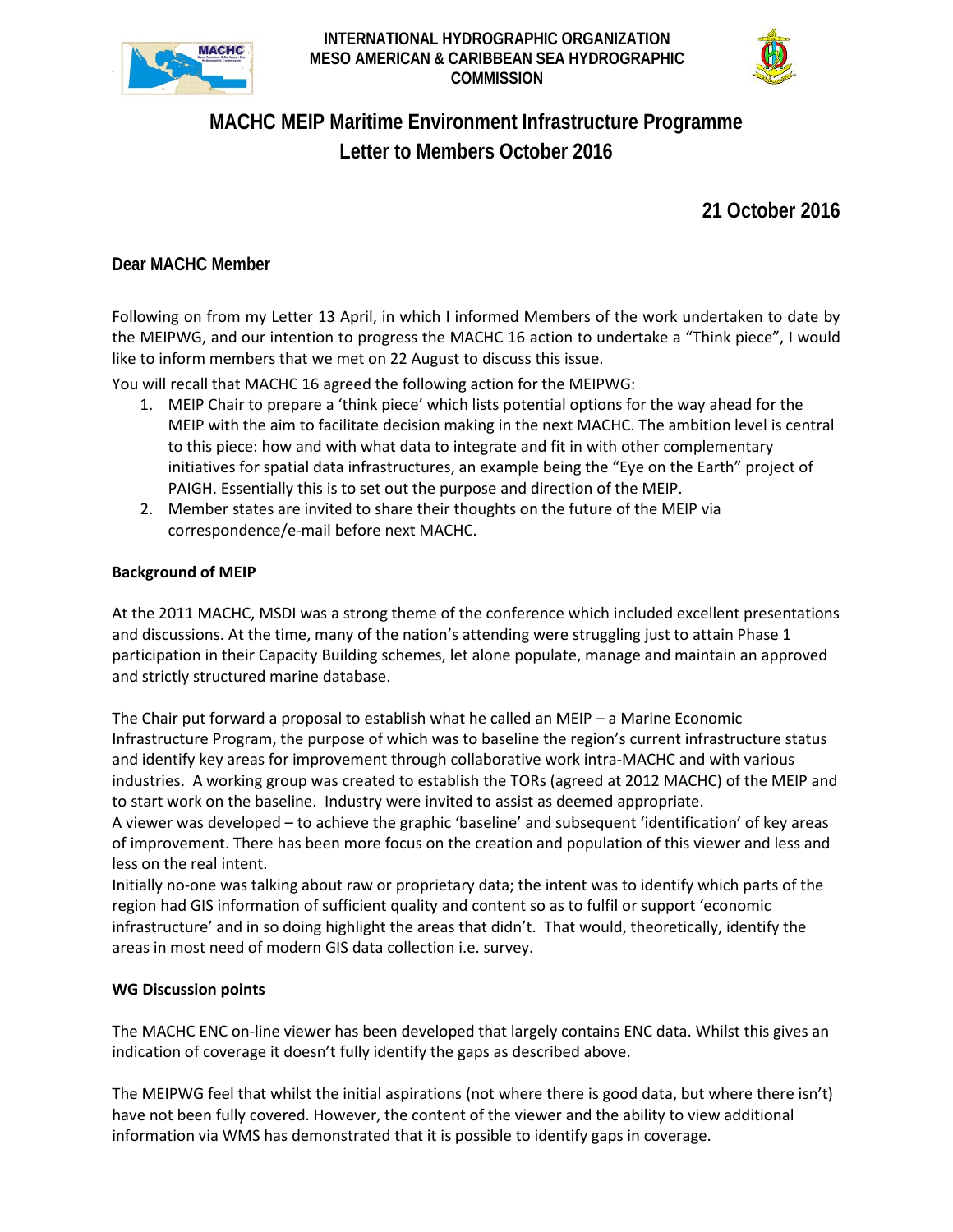

**INTERNATIONAL HYDROGRAPHIC ORGANIZATION MESO AMERICAN & CARIBBEAN SEA HYDROGRAPHIC COMMISSION**



# **MACHC MEIP Maritime Environment Infrastructure Programme Letter to Members October 2016**

**21 October 2016**

# **Dear MACHC Member**

Following on from my Letter 13 April, in which I informed Members of the work undertaken to date by the MEIPWG, and our intention to progress the MACHC 16 action to undertake a "Think piece", I would like to inform members that we met on 22 August to discuss this issue.

You will recall that MACHC 16 agreed the following action for the MEIPWG:

- 1. MEIP Chair to prepare a 'think piece' which lists potential options for the way ahead for the MEIP with the aim to facilitate decision making in the next MACHC. The ambition level is central to this piece: how and with what data to integrate and fit in with other complementary initiatives for spatial data infrastructures, an example being the "Eye on the Earth" project of PAIGH. Essentially this is to set out the purpose and direction of the MEIP.
- 2. Member states are invited to share their thoughts on the future of the MEIP via correspondence/e-mail before next MACHC.

# **Background of MEIP**

At the 2011 MACHC, MSDI was a strong theme of the conference which included excellent presentations and discussions. At the time, many of the nation's attending were struggling just to attain Phase 1 participation in their Capacity Building schemes, let alone populate, manage and maintain an approved and strictly structured marine database.

The Chair put forward a proposal to establish what he called an MEIP – a Marine Economic Infrastructure Program, the purpose of which was to baseline the region's current infrastructure status and identify key areas for improvement through collaborative work intra-MACHC and with various industries. A working group was created to establish the TORs (agreed at 2012 MACHC) of the MEIP and to start work on the baseline. Industry were invited to assist as deemed appropriate.

A viewer was developed – to achieve the graphic 'baseline' and subsequent 'identification' of key areas of improvement. There has been more focus on the creation and population of this viewer and less and less on the real intent.

Initially no-one was talking about raw or proprietary data; the intent was to identify which parts of the region had GIS information of sufficient quality and content so as to fulfil or support 'economic infrastructure' and in so doing highlight the areas that didn't. That would, theoretically, identify the areas in most need of modern GIS data collection i.e. survey.

#### **WG Discussion points**

The MACHC ENC on-line viewer has been developed that largely contains ENC data. Whilst this gives an indication of coverage it doesn't fully identify the gaps as described above.

The MEIPWG feel that whilst the initial aspirations (not where there is good data, but where there isn't) have not been fully covered. However, the content of the viewer and the ability to view additional information via WMS has demonstrated that it is possible to identify gaps in coverage.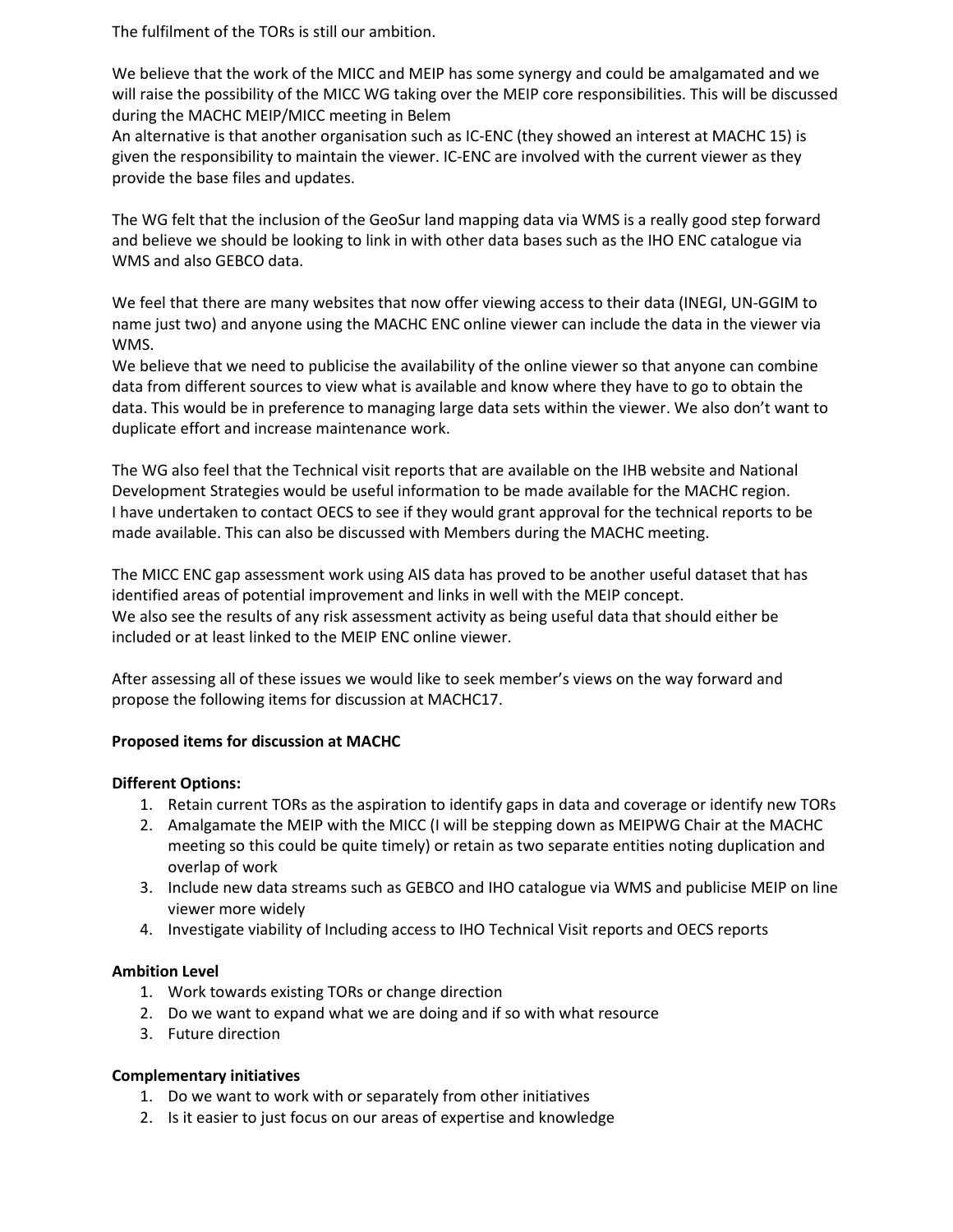The fulfilment of the TORs is still our ambition.

We believe that the work of the MICC and MEIP has some synergy and could be amalgamated and we will raise the possibility of the MICC WG taking over the MEIP core responsibilities. This will be discussed during the MACHC MEIP/MICC meeting in Belem

An alternative is that another organisation such as IC-ENC (they showed an interest at MACHC 15) is given the responsibility to maintain the viewer. IC-ENC are involved with the current viewer as they provide the base files and updates.

The WG felt that the inclusion of the GeoSur land mapping data via WMS is a really good step forward and believe we should be looking to link in with other data bases such as the IHO ENC catalogue via WMS and also GEBCO data.

We feel that there are many websites that now offer viewing access to their data (INEGI, UN-GGIM to name just two) and anyone using the MACHC ENC online viewer can include the data in the viewer via WMS.

We believe that we need to publicise the availability of the online viewer so that anyone can combine data from different sources to view what is available and know where they have to go to obtain the data. This would be in preference to managing large data sets within the viewer. We also don't want to duplicate effort and increase maintenance work.

The WG also feel that the Technical visit reports that are available on the IHB website and National Development Strategies would be useful information to be made available for the MACHC region. I have undertaken to contact OECS to see if they would grant approval for the technical reports to be made available. This can also be discussed with Members during the MACHC meeting.

The MICC ENC gap assessment work using AIS data has proved to be another useful dataset that has identified areas of potential improvement and links in well with the MEIP concept. We also see the results of any risk assessment activity as being useful data that should either be included or at least linked to the MEIP ENC online viewer.

After assessing all of these issues we would like to seek member's views on the way forward and propose the following items for discussion at MACHC17.

# **Proposed items for discussion at MACHC**

#### **Different Options:**

- 1. Retain current TORs as the aspiration to identify gaps in data and coverage or identify new TORs
- 2. Amalgamate the MEIP with the MICC (I will be stepping down as MEIPWG Chair at the MACHC meeting so this could be quite timely) or retain as two separate entities noting duplication and overlap of work
- 3. Include new data streams such as GEBCO and IHO catalogue via WMS and publicise MEIP on line viewer more widely
- 4. Investigate viability of Including access to IHO Technical Visit reports and OECS reports

#### **Ambition Level**

- 1. Work towards existing TORs or change direction
- 2. Do we want to expand what we are doing and if so with what resource
- 3. Future direction

#### **Complementary initiatives**

- 1. Do we want to work with or separately from other initiatives
- 2. Is it easier to just focus on our areas of expertise and knowledge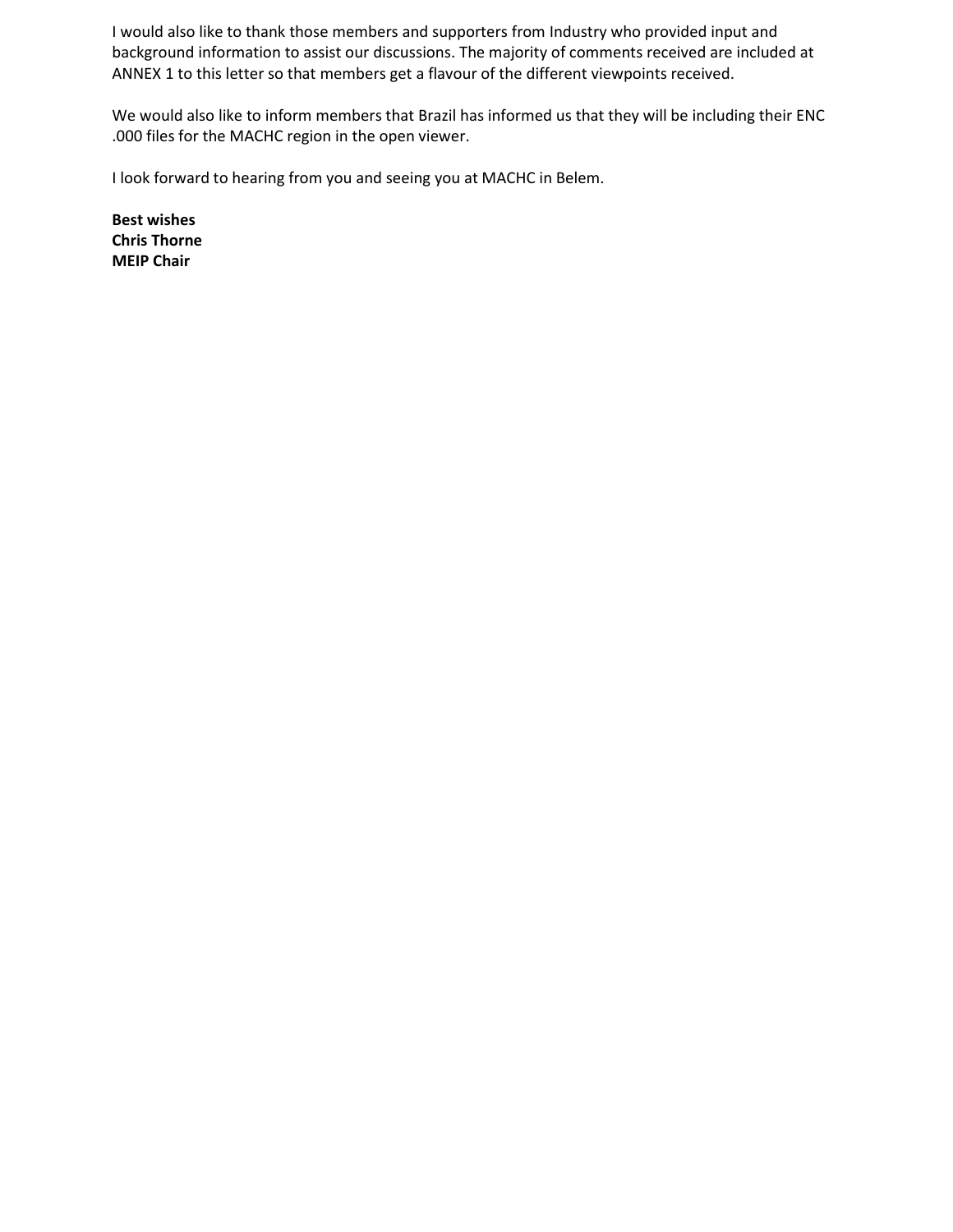I would also like to thank those members and supporters from Industry who provided input and background information to assist our discussions. The majority of comments received are included at ANNEX 1 to this letter so that members get a flavour of the different viewpoints received.

We would also like to inform members that Brazil has informed us that they will be including their ENC .000 files for the MACHC region in the open viewer.

I look forward to hearing from you and seeing you at MACHC in Belem.

**Best wishes Chris Thorne MEIP Chair**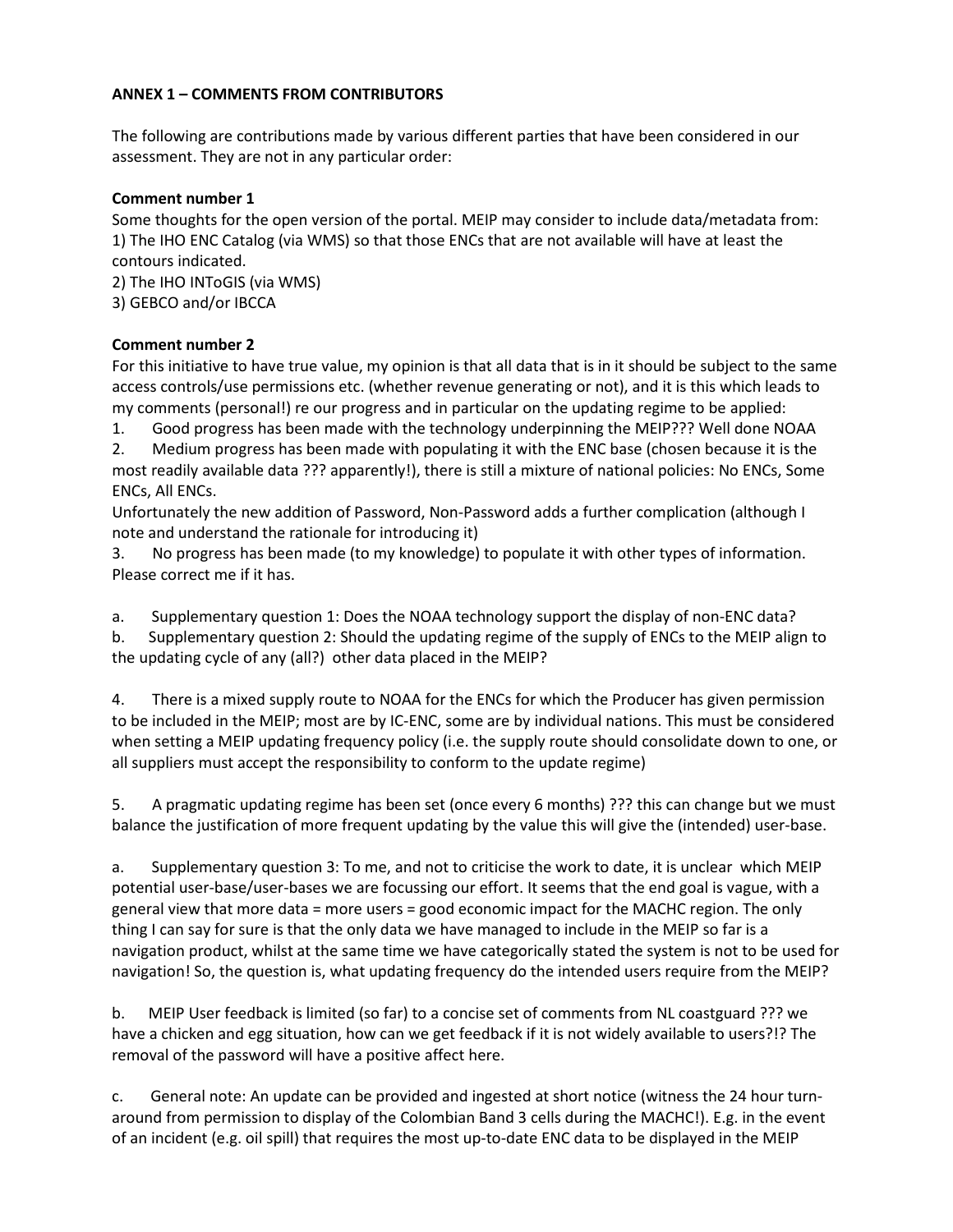# **ANNEX 1 – COMMENTS FROM CONTRIBUTORS**

The following are contributions made by various different parties that have been considered in our assessment. They are not in any particular order:

#### **Comment number 1**

Some thoughts for the open version of the portal. MEIP may consider to include data/metadata from: 1) The IHO ENC Catalog (via WMS) so that those ENCs that are not available will have at least the contours indicated.

2) The IHO INToGIS (via WMS) 3) GEBCO and/or IBCCA

# **Comment number 2**

For this initiative to have true value, my opinion is that all data that is in it should be subject to the same access controls/use permissions etc. (whether revenue generating or not), and it is this which leads to my comments (personal!) re our progress and in particular on the updating regime to be applied:

1. Good progress has been made with the technology underpinning the MEIP??? Well done NOAA

2. Medium progress has been made with populating it with the ENC base (chosen because it is the most readily available data ??? apparently!), there is still a mixture of national policies: No ENCs, Some ENCs, All ENCs.

Unfortunately the new addition of Password, Non-Password adds a further complication (although I note and understand the rationale for introducing it)

3. No progress has been made (to my knowledge) to populate it with other types of information. Please correct me if it has.

a. Supplementary question 1: Does the NOAA technology support the display of non-ENC data?

b. Supplementary question 2: Should the updating regime of the supply of ENCs to the MEIP align to the updating cycle of any (all?) other data placed in the MEIP?

4. There is a mixed supply route to NOAA for the ENCs for which the Producer has given permission to be included in the MEIP; most are by IC-ENC, some are by individual nations. This must be considered when setting a MEIP updating frequency policy (i.e. the supply route should consolidate down to one, or all suppliers must accept the responsibility to conform to the update regime)

5. A pragmatic updating regime has been set (once every 6 months) ??? this can change but we must balance the justification of more frequent updating by the value this will give the (intended) user-base.

a. Supplementary question 3: To me, and not to criticise the work to date, it is unclear which MEIP potential user-base/user-bases we are focussing our effort. It seems that the end goal is vague, with a general view that more data = more users = good economic impact for the MACHC region. The only thing I can say for sure is that the only data we have managed to include in the MEIP so far is a navigation product, whilst at the same time we have categorically stated the system is not to be used for navigation! So, the question is, what updating frequency do the intended users require from the MEIP?

b. MEIP User feedback is limited (so far) to a concise set of comments from NL coastguard ??? we have a chicken and egg situation, how can we get feedback if it is not widely available to users?!? The removal of the password will have a positive affect here.

c. General note: An update can be provided and ingested at short notice (witness the 24 hour turnaround from permission to display of the Colombian Band 3 cells during the MACHC!). E.g. in the event of an incident (e.g. oil spill) that requires the most up-to-date ENC data to be displayed in the MEIP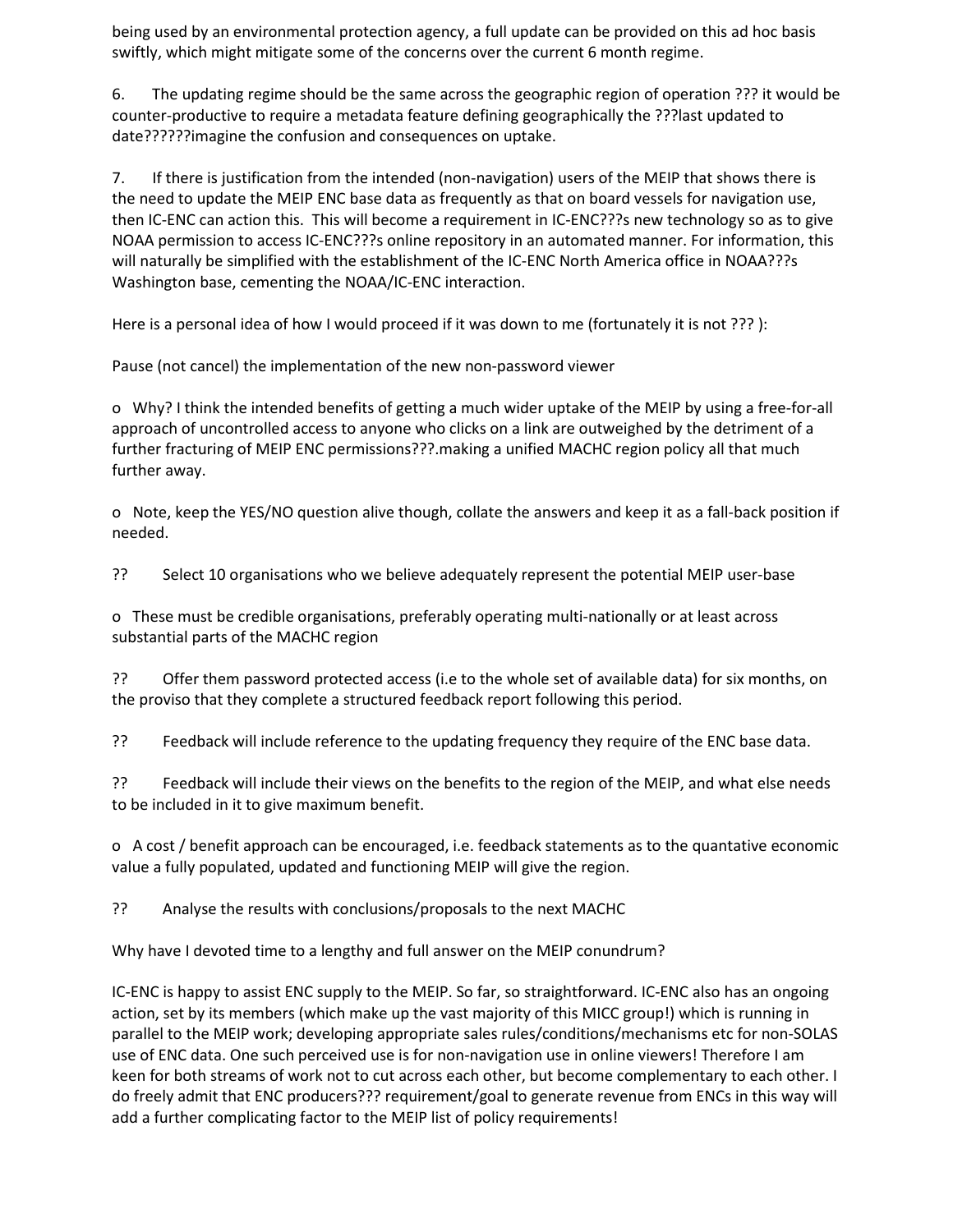being used by an environmental protection agency, a full update can be provided on this ad hoc basis swiftly, which might mitigate some of the concerns over the current 6 month regime.

6. The updating regime should be the same across the geographic region of operation ??? it would be counter-productive to require a metadata feature defining geographically the ???last updated to date??????imagine the confusion and consequences on uptake.

7. If there is justification from the intended (non-navigation) users of the MEIP that shows there is the need to update the MEIP ENC base data as frequently as that on board vessels for navigation use, then IC-ENC can action this. This will become a requirement in IC-ENC???s new technology so as to give NOAA permission to access IC-ENC???s online repository in an automated manner. For information, this will naturally be simplified with the establishment of the IC-ENC North America office in NOAA???s Washington base, cementing the NOAA/IC-ENC interaction.

Here is a personal idea of how I would proceed if it was down to me (fortunately it is not ???):

Pause (not cancel) the implementation of the new non-password viewer

o Why? I think the intended benefits of getting a much wider uptake of the MEIP by using a free-for-all approach of uncontrolled access to anyone who clicks on a link are outweighed by the detriment of a further fracturing of MEIP ENC permissions???.making a unified MACHC region policy all that much further away.

o Note, keep the YES/NO question alive though, collate the answers and keep it as a fall-back position if needed.

?? Select 10 organisations who we believe adequately represent the potential MEIP user-base

o These must be credible organisations, preferably operating multi-nationally or at least across substantial parts of the MACHC region

?? Offer them password protected access (i.e to the whole set of available data) for six months, on the proviso that they complete a structured feedback report following this period.

?? Feedback will include reference to the updating frequency they require of the ENC base data.

?? Feedback will include their views on the benefits to the region of the MEIP, and what else needs to be included in it to give maximum benefit.

o A cost / benefit approach can be encouraged, i.e. feedback statements as to the quantative economic value a fully populated, updated and functioning MEIP will give the region.

?? Analyse the results with conclusions/proposals to the next MACHC

Why have I devoted time to a lengthy and full answer on the MEIP conundrum?

IC-ENC is happy to assist ENC supply to the MEIP. So far, so straightforward. IC-ENC also has an ongoing action, set by its members (which make up the vast majority of this MICC group!) which is running in parallel to the MEIP work; developing appropriate sales rules/conditions/mechanisms etc for non-SOLAS use of ENC data. One such perceived use is for non-navigation use in online viewers! Therefore I am keen for both streams of work not to cut across each other, but become complementary to each other. I do freely admit that ENC producers??? requirement/goal to generate revenue from ENCs in this way will add a further complicating factor to the MEIP list of policy requirements!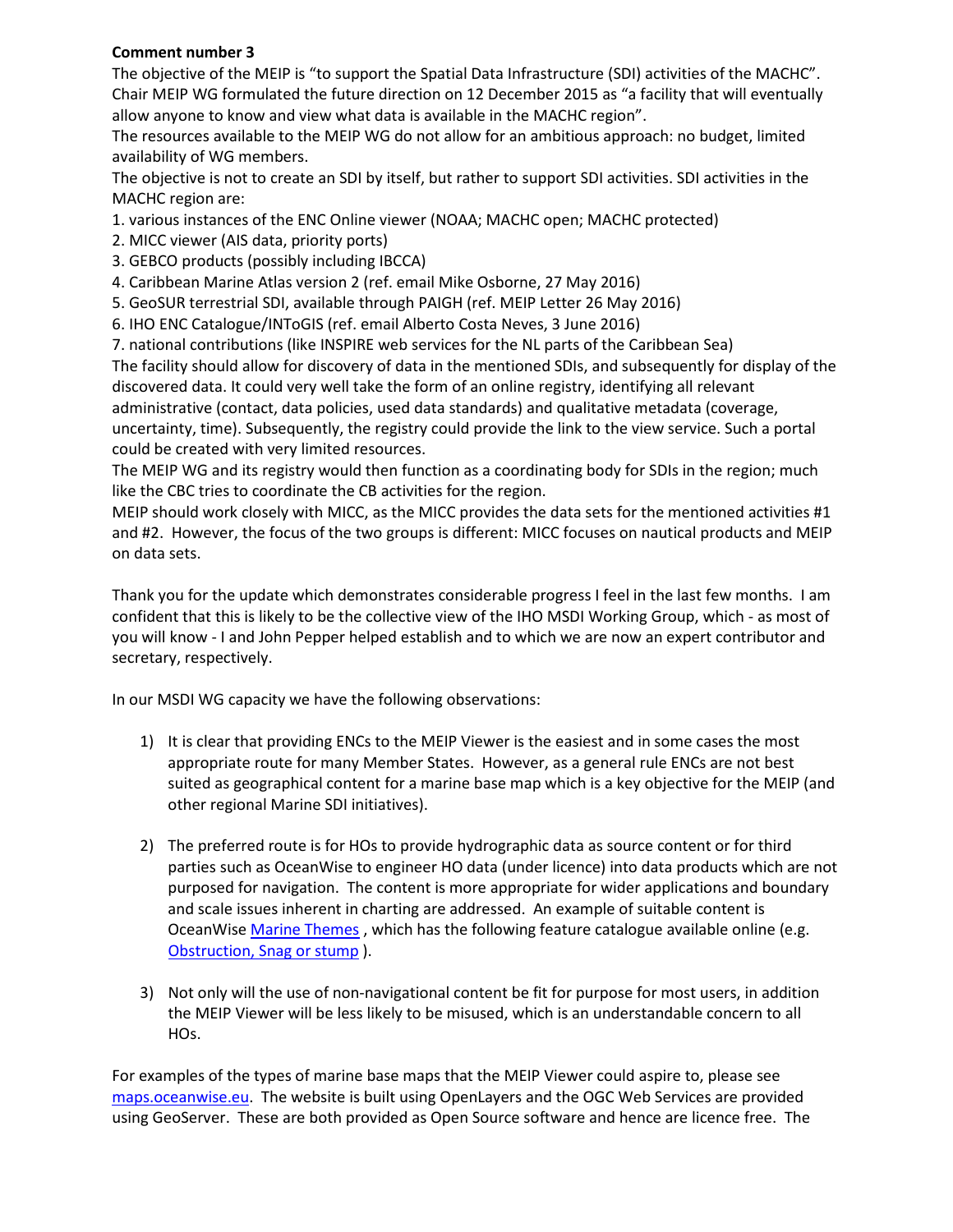#### **Comment number 3**

The objective of the MEIP is "to support the Spatial Data Infrastructure (SDI) activities of the MACHC". Chair MEIP WG formulated the future direction on 12 December 2015 as "a facility that will eventually allow anyone to know and view what data is available in the MACHC region".

The resources available to the MEIP WG do not allow for an ambitious approach: no budget, limited availability of WG members.

The objective is not to create an SDI by itself, but rather to support SDI activities. SDI activities in the MACHC region are:

1. various instances of the ENC Online viewer (NOAA; MACHC open; MACHC protected)

- 2. MICC viewer (AIS data, priority ports)
- 3. GEBCO products (possibly including IBCCA)
- 4. Caribbean Marine Atlas version 2 (ref. email Mike Osborne, 27 May 2016)
- 5. GeoSUR terrestrial SDI, available through PAIGH (ref. MEIP Letter 26 May 2016)
- 6. IHO ENC Catalogue/INToGIS (ref. email Alberto Costa Neves, 3 June 2016)
- 7. national contributions (like INSPIRE web services for the NL parts of the Caribbean Sea)

The facility should allow for discovery of data in the mentioned SDIs, and subsequently for display of the discovered data. It could very well take the form of an online registry, identifying all relevant administrative (contact, data policies, used data standards) and qualitative metadata (coverage, uncertainty, time). Subsequently, the registry could provide the link to the view service. Such a portal could be created with very limited resources.

The MEIP WG and its registry would then function as a coordinating body for SDIs in the region; much like the CBC tries to coordinate the CB activities for the region.

MEIP should work closely with MICC, as the MICC provides the data sets for the mentioned activities #1 and #2. However, the focus of the two groups is different: MICC focuses on nautical products and MEIP on data sets.

Thank you for the update which demonstrates considerable progress I feel in the last few months. I am confident that this is likely to be the collective view of the IHO MSDI Working Group, which - as most of you will know - I and John Pepper helped establish and to which we are now an expert contributor and secretary, respectively.

In our MSDI WG capacity we have the following observations:

- 1) It is clear that providing ENCs to the MEIP Viewer is the easiest and in some cases the most appropriate route for many Member States. However, as a general rule ENCs are not best suited as geographical content for a marine base map which is a key objective for the MEIP (and other regional Marine SDI initiatives).
- 2) The preferred route is for HOs to provide hydrographic data as source content or for third parties such as OceanWise to engineer HO data (under licence) into data products which are not purposed for navigation. The content is more appropriate for wider applications and boundary and scale issues inherent in charting are addressed. An example of suitable content is OceanWise [Marine Themes](http://www.oceanwise.eu/data/marine-themes/) , which has the following feature catalogue available online (e.g. [Obstruction, Snag or stump](http://www.oceanwise.eu/data/marine-themes/feature-catalogue/feature-details/?FC=20011&page=featcat) ).
- 3) Not only will the use of non-navigational content be fit for purpose for most users, in addition the MEIP Viewer will be less likely to be misused, which is an understandable concern to all HOs.

For examples of the types of marine base maps that the MEIP Viewer could aspire to, please see [maps.oceanwise.eu.](http://maps.oceanwise.eu/) The website is built using OpenLayers and the OGC Web Services are provided using GeoServer. These are both provided as Open Source software and hence are licence free. The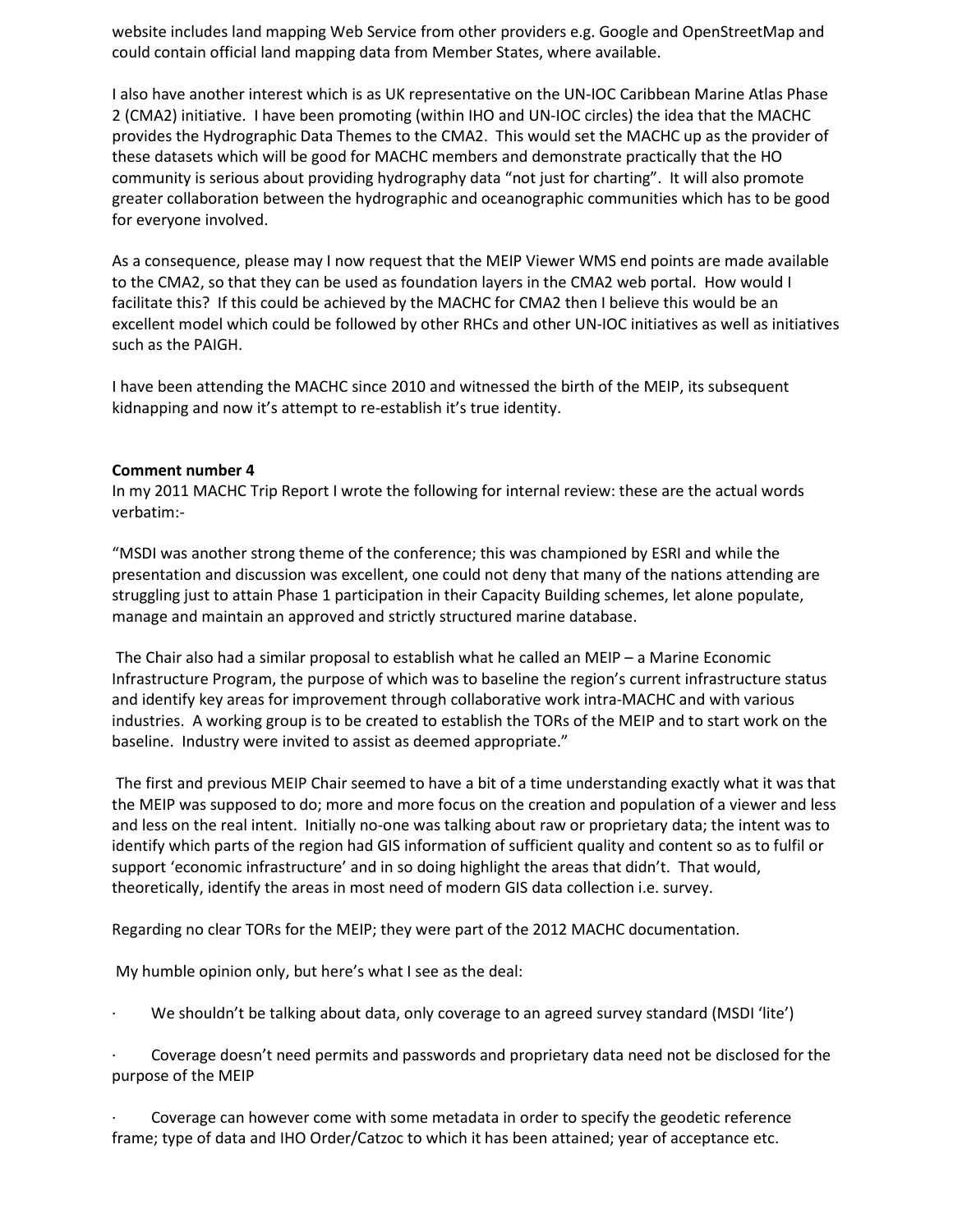website includes land mapping Web Service from other providers e.g. Google and OpenStreetMap and could contain official land mapping data from Member States, where available.

I also have another interest which is as UK representative on the UN-IOC Caribbean Marine Atlas Phase 2 (CMA2) initiative. I have been promoting (within IHO and UN-IOC circles) the idea that the MACHC provides the Hydrographic Data Themes to the CMA2. This would set the MACHC up as the provider of these datasets which will be good for MACHC members and demonstrate practically that the HO community is serious about providing hydrography data "not just for charting". It will also promote greater collaboration between the hydrographic and oceanographic communities which has to be good for everyone involved.

As a consequence, please may I now request that the MEIP Viewer WMS end points are made available to the CMA2, so that they can be used as foundation layers in the CMA2 web portal. How would I facilitate this? If this could be achieved by the MACHC for CMA2 then I believe this would be an excellent model which could be followed by other RHCs and other UN-IOC initiatives as well as initiatives such as the PAIGH.

I have been attending the MACHC since 2010 and witnessed the birth of the MEIP, its subsequent kidnapping and now it's attempt to re-establish it's true identity.

#### **Comment number 4**

In my 2011 MACHC Trip Report I wrote the following for internal review: these are the actual words verbatim:-

"MSDI was another strong theme of the conference; this was championed by ESRI and while the presentation and discussion was excellent, one could not deny that many of the nations attending are struggling just to attain Phase 1 participation in their Capacity Building schemes, let alone populate, manage and maintain an approved and strictly structured marine database.

The Chair also had a similar proposal to establish what he called an MEIP – a Marine Economic Infrastructure Program, the purpose of which was to baseline the region's current infrastructure status and identify key areas for improvement through collaborative work intra-MACHC and with various industries. A working group is to be created to establish the TORs of the MEIP and to start work on the baseline. Industry were invited to assist as deemed appropriate."

The first and previous MEIP Chair seemed to have a bit of a time understanding exactly what it was that the MEIP was supposed to do; more and more focus on the creation and population of a viewer and less and less on the real intent. Initially no-one was talking about raw or proprietary data; the intent was to identify which parts of the region had GIS information of sufficient quality and content so as to fulfil or support 'economic infrastructure' and in so doing highlight the areas that didn't. That would, theoretically, identify the areas in most need of modern GIS data collection i.e. survey.

Regarding no clear TORs for the MEIP; they were part of the 2012 MACHC documentation.

My humble opinion only, but here's what I see as the deal:

We shouldn't be talking about data, only coverage to an agreed survey standard (MSDI 'lite')

· Coverage doesn't need permits and passwords and proprietary data need not be disclosed for the purpose of the MEIP

· Coverage can however come with some metadata in order to specify the geodetic reference frame; type of data and IHO Order/Catzoc to which it has been attained; year of acceptance etc.